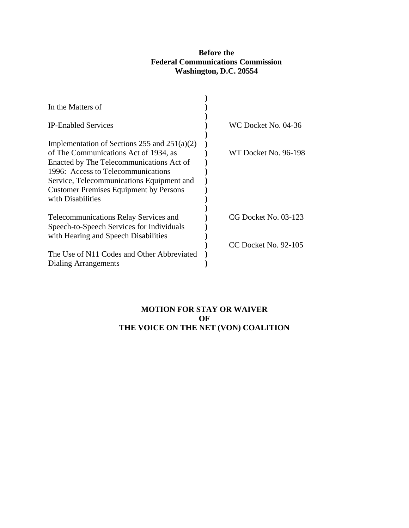## **Before the Federal Communications Commission Washington, D.C. 20554**

| In the Matters of                              |                      |
|------------------------------------------------|----------------------|
|                                                |                      |
| <b>IP-Enabled Services</b>                     | WC Docket No. 04-36  |
|                                                |                      |
| Implementation of Sections 255 and $251(a)(2)$ |                      |
| of The Communications Act of 1934, as          | WT Docket No. 96-198 |
| Enacted by The Telecommunications Act of       |                      |
| 1996: Access to Telecommunications             |                      |
| Service, Telecommunications Equipment and      |                      |
| <b>Customer Premises Equipment by Persons</b>  |                      |
| with Disabilities                              |                      |
|                                                |                      |
| <b>Telecommunications Relay Services and</b>   | CG Docket No. 03-123 |
| Speech-to-Speech Services for Individuals      |                      |
| with Hearing and Speech Disabilities           |                      |
|                                                | CC Docket No. 92-105 |
| The Use of N11 Codes and Other Abbreviated     |                      |
| Dialing Arrangements                           |                      |

# **MOTION FOR STAY OR WAIVER OF THE VOICE ON THE NET (VON) COALITION**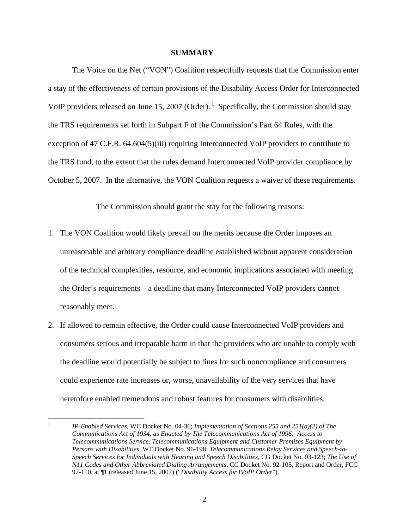#### **SUMMARY**

The Voice on the Net ("VON") Coalition respectfully requests that the Commission enter a stay of the effectiveness of certain provisions of the Disability Access Order for Interconnected VoIP providers released on June 15, 2007 (Order).<sup>1</sup> Specifically, the Commission should stay the TRS requirements set forth in Subpart F of the Commission's Part 64 Rules, with the exception of 47 C.F.R. 64.604(5)(iii) requiring Interconnected VoIP providers to contribute to the TRS fund, to the extent that the rules demand Interconnected VoIP provider compliance by October 5, 2007. In the alternative, the VON Coalition requests a waiver of these requirements.

The Commission should grant the stay for the following reasons:

- 1. The VON Coalition would likely prevail on the merits because the Order imposes an unreasonable and arbitrary compliance deadline established without apparent consideration of the technical complexities, resource, and economic implications associated with meeting the Order's requirements – a deadline that many Interconnected VoIP providers cannot reasonably meet.
- 2. If allowed to remain effective, the Order could cause Interconnected VoIP providers and consumers serious and irreparable harm in that the providers who are unable to comply with the deadline would potentially be subject to fines for such noncompliance and consumers could experience rate increases or, worse, unavailability of the very services that have heretofore enabled tremendous and robust features for consumers with disabilities.

 $\frac{1}{1}$  *IP-Enabled Services*, WC Docket No. 04-36; *Implementation of Sections 255 and 251(a)(2) of The Communications Act of 1934, as Enacted by The Telecommunications Act of 1996: Access to Telecommunications Service, Telecommunications Equipment and Customer Premises Equipment by Persons with Disabilities*, WT Docket No. 96-198; *Telecommunications Relay Services and Speech-to-Speech Services for Individuals with Hearing and Speech Disabilities,* CG Docket No. 03-123; *The Use of N11 Codes and Other Abbreviated Dialing Arrangements*, CC Docket No. 92-105, Report and Order, FCC 97-110, at ¶1 (released June 15, 2007) ("*Disability Access for IVoIP Order*").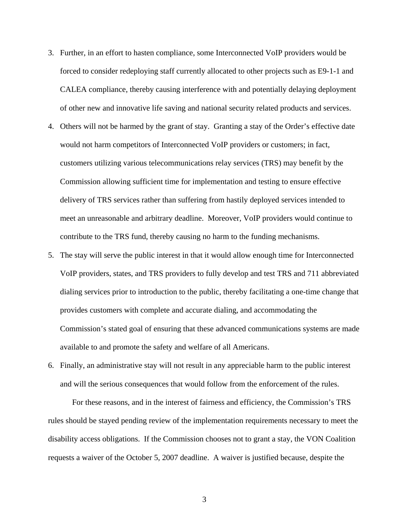- 3. Further, in an effort to hasten compliance, some Interconnected VoIP providers would be forced to consider redeploying staff currently allocated to other projects such as E9-1-1 and CALEA compliance, thereby causing interference with and potentially delaying deployment of other new and innovative life saving and national security related products and services.
- 4. Others will not be harmed by the grant of stay. Granting a stay of the Order's effective date would not harm competitors of Interconnected VoIP providers or customers; in fact, customers utilizing various telecommunications relay services (TRS) may benefit by the Commission allowing sufficient time for implementation and testing to ensure effective delivery of TRS services rather than suffering from hastily deployed services intended to meet an unreasonable and arbitrary deadline. Moreover, VoIP providers would continue to contribute to the TRS fund, thereby causing no harm to the funding mechanisms.
- 5. The stay will serve the public interest in that it would allow enough time for Interconnected VoIP providers, states, and TRS providers to fully develop and test TRS and 711 abbreviated dialing services prior to introduction to the public, thereby facilitating a one-time change that provides customers with complete and accurate dialing, and accommodating the Commission's stated goal of ensuring that these advanced communications systems are made available to and promote the safety and welfare of all Americans.
- 6. Finally, an administrative stay will not result in any appreciable harm to the public interest and will the serious consequences that would follow from the enforcement of the rules.

For these reasons, and in the interest of fairness and efficiency, the Commission's TRS rules should be stayed pending review of the implementation requirements necessary to meet the disability access obligations. If the Commission chooses not to grant a stay, the VON Coalition requests a waiver of the October 5, 2007 deadline. A waiver is justified because, despite the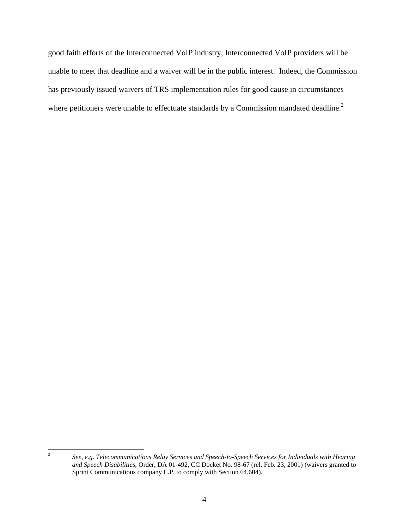good faith efforts of the Interconnected VoIP industry, Interconnected VoIP providers will be unable to meet that deadline and a waiver will be in the public interest. Indeed, the Commission has previously issued waivers of TRS implementation rules for good cause in circumstances where petitioners were unable to effectuate standards by a Commission mandated deadline.<sup>2</sup>

 $\frac{1}{2}$ 

*See, e.g. Telecommunications Relay Services and Speech-to-Speech Services for Individuals with Hearing and Speech Disabilities*, Order, DA 01-492, CC Docket No. 98-67 (rel. Feb. 23, 2001) (waivers granted to Sprint Communications company L.P. to comply with Section 64.604).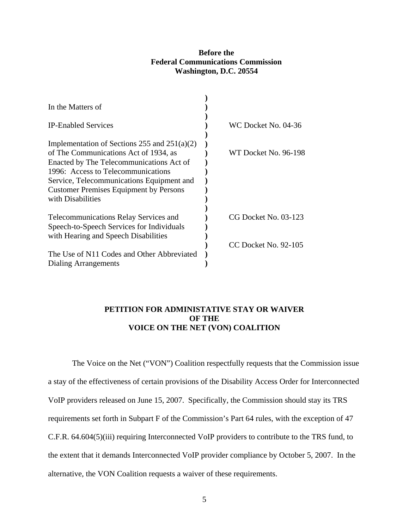#### **Before the Federal Communications Commission Washington, D.C. 20554**

| In the Matters of                              |                      |
|------------------------------------------------|----------------------|
|                                                |                      |
| <b>IP-Enabled Services</b>                     | WC Docket No. 04-36  |
|                                                |                      |
| Implementation of Sections 255 and $251(a)(2)$ |                      |
| of The Communications Act of 1934, as          | WT Docket No. 96-198 |
| Enacted by The Telecommunications Act of       |                      |
| 1996: Access to Telecommunications             |                      |
| Service, Telecommunications Equipment and      |                      |
| <b>Customer Premises Equipment by Persons</b>  |                      |
| with Disabilities                              |                      |
|                                                |                      |
| Telecommunications Relay Services and          | CG Docket No. 03-123 |
| Speech-to-Speech Services for Individuals      |                      |
| with Hearing and Speech Disabilities           |                      |
|                                                | CC Docket No. 92-105 |
| The Use of N11 Codes and Other Abbreviated     |                      |
| Dialing Arrangements                           |                      |

#### **PETITION FOR ADMINISTATIVE STAY OR WAIVER OF THE VOICE ON THE NET (VON) COALITION**

The Voice on the Net ("VON") Coalition respectfully requests that the Commission issue a stay of the effectiveness of certain provisions of the Disability Access Order for Interconnected VoIP providers released on June 15, 2007. Specifically, the Commission should stay its TRS requirements set forth in Subpart F of the Commission's Part 64 rules, with the exception of 47 C.F.R. 64.604(5)(iii) requiring Interconnected VoIP providers to contribute to the TRS fund, to the extent that it demands Interconnected VoIP provider compliance by October 5, 2007. In the alternative, the VON Coalition requests a waiver of these requirements.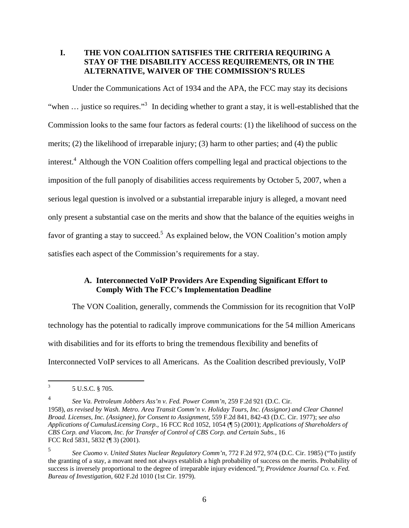### **I. THE VON COALITION SATISFIES THE CRITERIA REQUIRING A STAY OF THE DISABILITY ACCESS REQUIREMENTS, OR IN THE ALTERNATIVE, WAIVER OF THE COMMISSION'S RULES**

Under the Communications Act of 1934 and the APA, the FCC may stay its decisions "when ... justice so requires."<sup>3</sup> In deciding whether to grant a stay, it is well-established that the Commission looks to the same four factors as federal courts: (1) the likelihood of success on the merits; (2) the likelihood of irreparable injury; (3) harm to other parties; and (4) the public interest.<sup>4</sup> Although the VON Coalition offers compelling legal and practical objections to the imposition of the full panoply of disabilities access requirements by October 5, 2007, when a serious legal question is involved or a substantial irreparable injury is alleged, a movant need only present a substantial case on the merits and show that the balance of the equities weighs in favor of granting a stay to succeed.<sup>5</sup> As explained below, the VON Coalition's motion amply satisfies each aspect of the Commission's requirements for a stay.

### **A. Interconnected VoIP Providers Are Expending Significant Effort to Comply With The FCC's Implementation Deadline**

The VON Coalition, generally, commends the Commission for its recognition that VoIP technology has the potential to radically improve communications for the 54 million Americans with disabilities and for its efforts to bring the tremendous flexibility and benefits of Interconnected VoIP services to all Americans. As the Coalition described previously, VoIP

<sup>&</sup>lt;sup>2</sup><br>3 5 U.S.C. § 705.

<sup>4</sup> *See Va. Petroleum Jobbers Ass'n v. Fed. Power Comm'n*, 259 F.2d 921 (D.C. Cir. 1958), *as revised by Wash. Metro. Area Transit Comm'n v. Holiday Tours, Inc. (Assignor) and Clear Channel Broad. Licenses, Inc. (Assignee), for Consent to Assignment*, 559 F.2d 841, 842-43 (D.C. Cir. 1977); s*ee also Applications of CumulusLicensing Corp.*, 16 FCC Rcd 1052, 1054 (¶ 5) (2001); *Applications of Shareholders of CBS Corp. and Viacom, Inc. for Transfer of Control of CBS Corp. and Certain Subs.*, 16 FCC Rcd 5831, 5832 (¶ 3) (2001).

<sup>5</sup> *See Cuomo v. United States Nuclear Regulatory Comm'n*, 772 F.2d 972, 974 (D.C. Cir. 1985) ("To justify the granting of a stay, a movant need not always establish a high probability of success on the merits. Probability of success is inversely proportional to the degree of irreparable injury evidenced."); *Providence Journal Co. v. Fed. Bureau of Investigation*, 602 F.2d 1010 (1st Cir. 1979).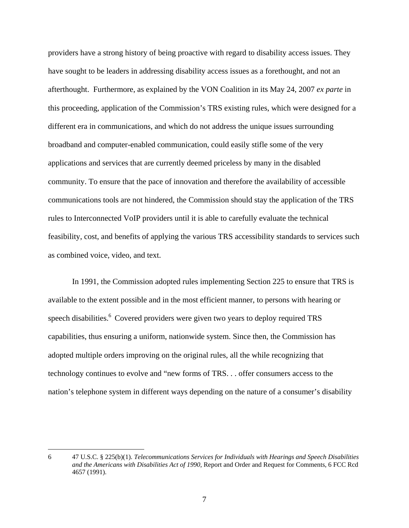providers have a strong history of being proactive with regard to disability access issues. They have sought to be leaders in addressing disability access issues as a forethought, and not an afterthought. Furthermore, as explained by the VON Coalition in its May 24, 2007 *ex parte* in this proceeding*,* application of the Commission's TRS existing rules, which were designed for a different era in communications, and which do not address the unique issues surrounding broadband and computer-enabled communication, could easily stifle some of the very applications and services that are currently deemed priceless by many in the disabled community. To ensure that the pace of innovation and therefore the availability of accessible communications tools are not hindered, the Commission should stay the application of the TRS rules to Interconnected VoIP providers until it is able to carefully evaluate the technical feasibility, cost, and benefits of applying the various TRS accessibility standards to services such as combined voice, video, and text.

In 1991, the Commission adopted rules implementing Section 225 to ensure that TRS is available to the extent possible and in the most efficient manner, to persons with hearing or speech disabilities.<sup>6</sup> Covered providers were given two years to deploy required TRS capabilities, thus ensuring a uniform, nationwide system. Since then, the Commission has adopted multiple orders improving on the original rules, all the while recognizing that technology continues to evolve and "new forms of TRS. . . offer consumers access to the nation's telephone system in different ways depending on the nature of a consumer's disability

 $\overline{a}$ 

<sup>6 47</sup> U.S.C. § 225(b)(1). *Telecommunications Services for Individuals with Hearings and Speech Disabilities and the Americans with Disabilities Act of 1990*, Report and Order and Request for Comments, 6 FCC Rcd 4657 (1991).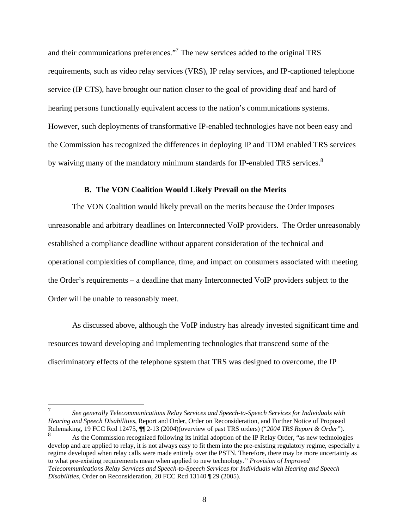and their communications preferences."<sup>7</sup> The new services added to the original TRS requirements, such as video relay services (VRS), IP relay services, and IP-captioned telephone service (IP CTS), have brought our nation closer to the goal of providing deaf and hard of hearing persons functionally equivalent access to the nation's communications systems. However, such deployments of transformative IP-enabled technologies have not been easy and the Commission has recognized the differences in deploying IP and TDM enabled TRS services by waiving many of the mandatory minimum standards for IP-enabled TRS services.<sup>8</sup>

#### **B. The VON Coalition Would Likely Prevail on the Merits**

The VON Coalition would likely prevail on the merits because the Order imposes unreasonable and arbitrary deadlines on Interconnected VoIP providers. The Order unreasonably established a compliance deadline without apparent consideration of the technical and operational complexities of compliance, time, and impact on consumers associated with meeting the Order's requirements – a deadline that many Interconnected VoIP providers subject to the Order will be unable to reasonably meet.

As discussed above, although the VoIP industry has already invested significant time and resources toward developing and implementing technologies that transcend some of the discriminatory effects of the telephone system that TRS was designed to overcome, the IP

<sup>7</sup>  *See generally Telecommunications Relay Services and Speech-to-Speech Services for Individuals with Hearing and Speech Disabilities*, Report and Order, Order on Reconsideration, and Further Notice of Proposed Rulemaking, 19 FCC Rcd 12475, ¶¶ 2-13 (2004)(overview of past TRS orders) ("*2004 TRS Report & Order*").

<sup>8</sup> As the Commission recognized following its initial adoption of the IP Relay Order, "as new technologies develop and are applied to relay, it is not always easy to fit them into the pre-existing regulatory regime, especially a regime developed when relay calls were made entirely over the PSTN. Therefore, there may be more uncertainty as to what pre-existing requirements mean when applied to new technology*." Provision of Improved Telecommunications Relay Services and Speech-to-Speech Services for Individuals with Hearing and Speech Disabilities*, Order on Reconsideration, 20 FCC Rcd 13140 ¶ 29 (2005).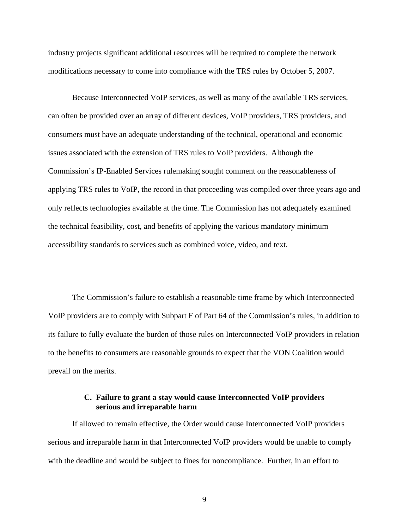industry projects significant additional resources will be required to complete the network modifications necessary to come into compliance with the TRS rules by October 5, 2007.

Because Interconnected VoIP services, as well as many of the available TRS services, can often be provided over an array of different devices, VoIP providers, TRS providers, and consumers must have an adequate understanding of the technical, operational and economic issues associated with the extension of TRS rules to VoIP providers. Although the Commission's IP-Enabled Services rulemaking sought comment on the reasonableness of applying TRS rules to VoIP, the record in that proceeding was compiled over three years ago and only reflects technologies available at the time. The Commission has not adequately examined the technical feasibility, cost, and benefits of applying the various mandatory minimum accessibility standards to services such as combined voice, video, and text.

The Commission's failure to establish a reasonable time frame by which Interconnected VoIP providers are to comply with Subpart F of Part 64 of the Commission's rules, in addition to its failure to fully evaluate the burden of those rules on Interconnected VoIP providers in relation to the benefits to consumers are reasonable grounds to expect that the VON Coalition would prevail on the merits.

### **C. Failure to grant a stay would cause Interconnected VoIP providers serious and irreparable harm**

If allowed to remain effective, the Order would cause Interconnected VoIP providers serious and irreparable harm in that Interconnected VoIP providers would be unable to comply with the deadline and would be subject to fines for noncompliance. Further, in an effort to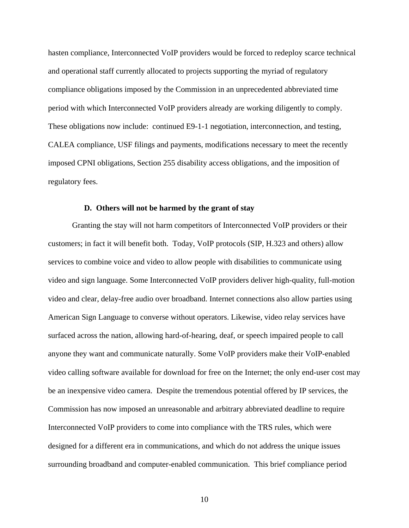hasten compliance, Interconnected VoIP providers would be forced to redeploy scarce technical and operational staff currently allocated to projects supporting the myriad of regulatory compliance obligations imposed by the Commission in an unprecedented abbreviated time period with which Interconnected VoIP providers already are working diligently to comply. These obligations now include: continued E9-1-1 negotiation, interconnection, and testing, CALEA compliance, USF filings and payments, modifications necessary to meet the recently imposed CPNI obligations, Section 255 disability access obligations, and the imposition of regulatory fees.

### **D. Others will not be harmed by the grant of stay**

Granting the stay will not harm competitors of Interconnected VoIP providers or their customers; in fact it will benefit both. Today, VoIP protocols (SIP, H.323 and others) allow services to combine voice and video to allow people with disabilities to communicate using video and sign language. Some Interconnected VoIP providers deliver high-quality, full-motion video and clear, delay-free audio over broadband. Internet connections also allow parties using American Sign Language to converse without operators. Likewise, video relay services have surfaced across the nation, allowing hard-of-hearing, deaf, or speech impaired people to call anyone they want and communicate naturally. Some VoIP providers make their VoIP-enabled video calling software available for download for free on the Internet; the only end-user cost may be an inexpensive video camera. Despite the tremendous potential offered by IP services, the Commission has now imposed an unreasonable and arbitrary abbreviated deadline to require Interconnected VoIP providers to come into compliance with the TRS rules, which were designed for a different era in communications, and which do not address the unique issues surrounding broadband and computer-enabled communication. This brief compliance period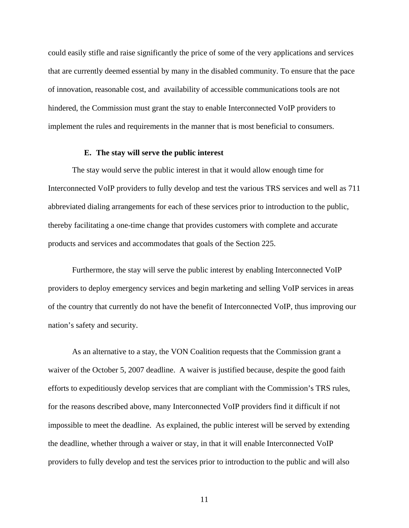could easily stifle and raise significantly the price of some of the very applications and services that are currently deemed essential by many in the disabled community. To ensure that the pace of innovation, reasonable cost, and availability of accessible communications tools are not hindered, the Commission must grant the stay to enable Interconnected VoIP providers to implement the rules and requirements in the manner that is most beneficial to consumers.

#### **E. The stay will serve the public interest**

The stay would serve the public interest in that it would allow enough time for Interconnected VoIP providers to fully develop and test the various TRS services and well as 711 abbreviated dialing arrangements for each of these services prior to introduction to the public, thereby facilitating a one-time change that provides customers with complete and accurate products and services and accommodates that goals of the Section 225.

Furthermore, the stay will serve the public interest by enabling Interconnected VoIP providers to deploy emergency services and begin marketing and selling VoIP services in areas of the country that currently do not have the benefit of Interconnected VoIP, thus improving our nation's safety and security.

As an alternative to a stay, the VON Coalition requests that the Commission grant a waiver of the October 5, 2007 deadline. A waiver is justified because, despite the good faith efforts to expeditiously develop services that are compliant with the Commission's TRS rules, for the reasons described above, many Interconnected VoIP providers find it difficult if not impossible to meet the deadline. As explained, the public interest will be served by extending the deadline, whether through a waiver or stay, in that it will enable Interconnected VoIP providers to fully develop and test the services prior to introduction to the public and will also